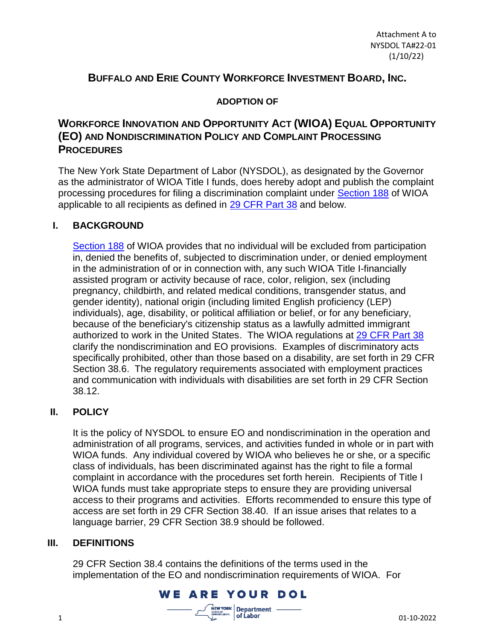## **BUFFALO AND ERIE COUNTY WORKFORCE INVESTMENT BOARD, INC.**

#### **ADOPTION OF**

# **WORKFORCE INNOVATION AND OPPORTUNITY ACT (WIOA) EQUAL OPPORTUNITY (EO) AND NONDISCRIMINATION POLICY AND COMPLAINT PROCESSING PROCEDURES**

The New York State Department of Labor (NYSDOL), as designated by the Governor as the administrator of WIOA Title I funds, does hereby adopt and publish the complaint processing procedures for filing a discrimination complaint under [Section 188](https://www.dol.gov/agencies/oasam/centers-offices/civil-rights-center/statutes/section-188-workforce-innovation-opportunity-act) of WIOA applicable to all recipients as defined in [29 CFR](https://www.ecfr.gov/current/title-29/subtitle-A/part-38) Part 38 and below.

## **I. BACKGROUND**

[Section 188](https://www.dol.gov/agencies/oasam/centers-offices/civil-rights-center/statutes/section-188-workforce-innovation-opportunity-act) of WIOA provides that no individual will be excluded from participation in, denied the benefits of, subjected to discrimination under, or denied employment in the administration of or in connection with, any such WIOA Title I-financially assisted program or activity because of race, color, religion, sex (including pregnancy, childbirth, and related medical conditions, transgender status, and gender identity), national origin (including limited English proficiency (LEP) individuals), age, disability, or political affiliation or belief, or for any beneficiary, because of the beneficiary's citizenship status as a lawfully admitted immigrant authorized to work in the United States. The WIOA regulations at [29 CFR](https://www.ecfr.gov/current/title-29/subtitle-A/part-38) Part 38 clarify the nondiscrimination and EO provisions. Examples of discriminatory acts specifically prohibited, other than those based on a disability, are set forth in 29 CFR Section 38.6. The regulatory requirements associated with employment practices and communication with individuals with disabilities are set forth in 29 CFR Section 38.12.

## **II. POLICY**

It is the policy of NYSDOL to ensure EO and nondiscrimination in the operation and administration of all programs, services, and activities funded in whole or in part with WIOA funds. Any individual covered by WIOA who believes he or she, or a specific class of individuals, has been discriminated against has the right to file a formal complaint in accordance with the procedures set forth herein. Recipients of Title I WIOA funds must take appropriate steps to ensure they are providing universal access to their programs and activities. Efforts recommended to ensure this type of access are set forth in 29 CFR Section 38.40. If an issue arises that relates to a language barrier, 29 CFR Section 38.9 should be followed.

#### **III. DEFINITIONS**

29 CFR Section 38.4 contains the definitions of the terms used in the implementation of the EO and nondiscrimination requirements of WIOA. For

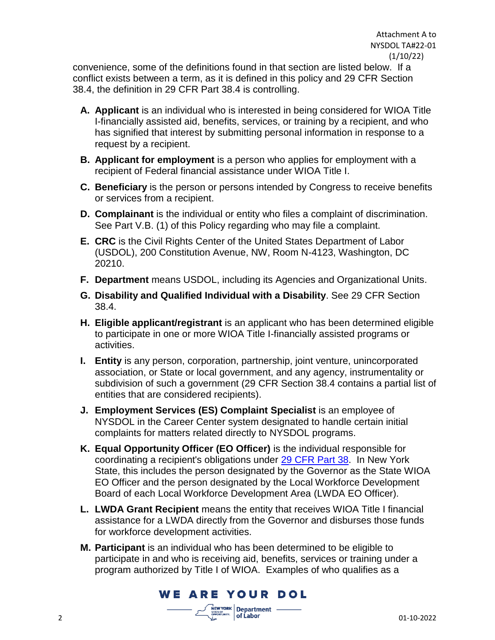convenience, some of the definitions found in that section are listed below. If a conflict exists between a term, as it is defined in this policy and 29 CFR Section 38.4, the definition in 29 CFR Part 38.4 is controlling.

- **A. Applicant** is an individual who is interested in being considered for WIOA Title I-financially assisted aid, benefits, services, or training by a recipient, and who has signified that interest by submitting personal information in response to a request by a recipient.
- **B. Applicant for employment** is a person who applies for employment with a recipient of Federal financial assistance under WIOA Title I.
- **C. Beneficiary** is the person or persons intended by Congress to receive benefits or services from a recipient.
- **D. Complainant** is the individual or entity who files a complaint of discrimination. See Part V.B. (1) of this Policy regarding who may file a complaint.
- **E. CRC** is the Civil Rights Center of the United States Department of Labor (USDOL), 200 Constitution Avenue, NW, Room N-4123, Washington, DC 20210.
- **F. Department** means USDOL, including its Agencies and Organizational Units.
- **G. Disability and Qualified Individual with a Disability**. See 29 CFR Section 38.4.
- **H. Eligible applicant/registrant** is an applicant who has been determined eligible to participate in one or more WIOA Title I-financially assisted programs or activities.
- **I. Entity** is any person, corporation, partnership, joint venture, unincorporated association, or State or local government, and any agency, instrumentality or subdivision of such a government (29 CFR Section 38.4 contains a partial list of entities that are considered recipients).
- **J. Employment Services (ES) Complaint Specialist** is an employee of NYSDOL in the Career Center system designated to handle certain initial complaints for matters related directly to NYSDOL programs.
- **K. Equal Opportunity Officer (EO Officer)** is the individual responsible for coordinating a recipient's obligations under [29 CFR](https://www.ecfr.gov/current/title-29/subtitle-A/part-38) Part 38. In New York State, this includes the person designated by the Governor as the State WIOA EO Officer and the person designated by the Local Workforce Development Board of each Local Workforce Development Area (LWDA EO Officer).
- **L. LWDA Grant Recipient** means the entity that receives WIOA Title I financial assistance for a LWDA directly from the Governor and disburses those funds for workforce development activities.
- **M. Participant** is an individual who has been determined to be eligible to participate in and who is receiving aid, benefits, services or training under a program authorized by Title I of WIOA. Examples of who qualifies as a

**YORK** Department -

**WE ARE YOUR DOL**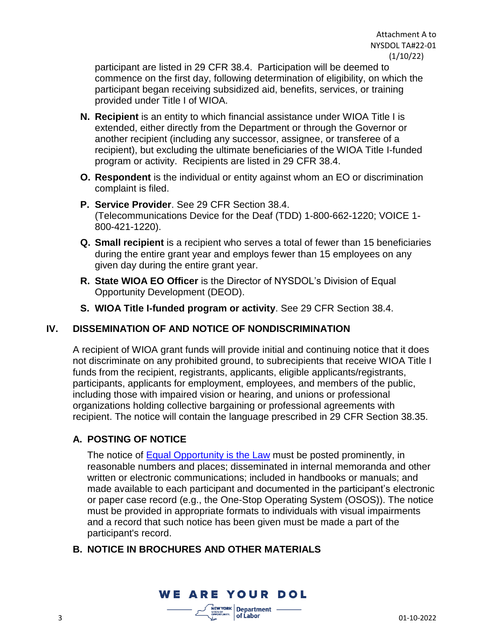participant are listed in 29 CFR 38.4. Participation will be deemed to commence on the first day, following determination of eligibility, on which the participant began receiving subsidized aid, benefits, services, or training provided under Title I of WIOA.

- **N. Recipient** is an entity to which financial assistance under WIOA Title I is extended, either directly from the Department or through the Governor or another recipient (including any successor, assignee, or transferee of a recipient), but excluding the ultimate beneficiaries of the WIOA Title I-funded program or activity. Recipients are listed in 29 CFR 38.4.
- **O. Respondent** is the individual or entity against whom an EO or discrimination complaint is filed.
- **P. Service Provider**. See 29 CFR Section 38.4. (Telecommunications Device for the Deaf (TDD) 1-800-662-1220; VOICE 1- 800-421-1220).
- **Q. Small recipient** is a recipient who serves a total of fewer than 15 beneficiaries during the entire grant year and employs fewer than 15 employees on any given day during the entire grant year.
- **R. State WIOA EO Officer** is the Director of NYSDOL's Division of Equal Opportunity Development (DEOD).
- **S. WIOA Title I-funded program or activity**. See 29 CFR Section 38.4.

## **IV. DISSEMINATION OF AND NOTICE OF NONDISCRIMINATION**

A recipient of WIOA grant funds will provide initial and continuing notice that it does not discriminate on any prohibited ground, to subrecipients that receive WIOA Title I funds from the recipient, registrants, applicants, eligible applicants/registrants, participants, applicants for employment, employees, and members of the public, including those with impaired vision or hearing, and unions or professional organizations holding collective bargaining or professional agreements with recipient. The notice will contain the language prescribed in 29 CFR Section 38.35.

## **A. POSTING OF NOTICE**

The notice of [Equal Opportunity is the Law](https://dol.ny.gov/system/files/documents/2021/03/deod310.pdf) must be posted prominently, in reasonable numbers and places; disseminated in internal memoranda and other written or electronic communications; included in handbooks or manuals; and made available to each participant and documented in the participant's electronic or paper case record (e.g., the One-Stop Operating System (OSOS)). The notice must be provided in appropriate formats to individuals with visual impairments and a record that such notice has been given must be made a part of the participant's record.

## **B. NOTICE IN BROCHURES AND OTHER MATERIALS**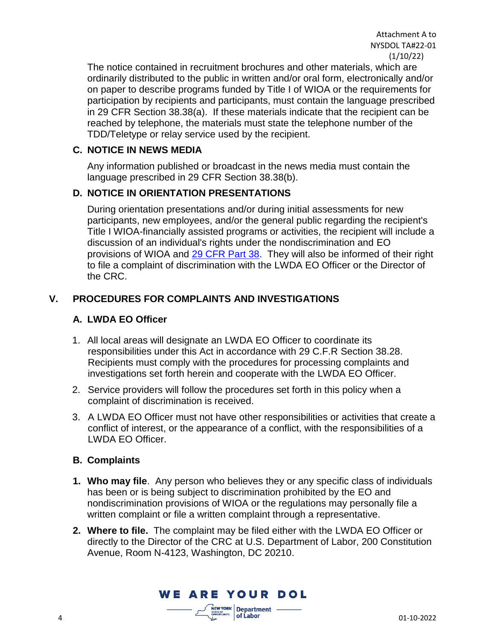The notice contained in recruitment brochures and other materials, which are ordinarily distributed to the public in written and/or oral form, electronically and/or on paper to describe programs funded by Title I of WIOA or the requirements for participation by recipients and participants, must contain the language prescribed in 29 CFR Section 38.38(a). If these materials indicate that the recipient can be reached by telephone, the materials must state the telephone number of the TDD/Teletype or relay service used by the recipient.

#### **C. NOTICE IN NEWS MEDIA**

Any information published or broadcast in the news media must contain the language prescribed in 29 CFR Section 38.38(b).

## **D. NOTICE IN ORIENTATION PRESENTATIONS**

During orientation presentations and/or during initial assessments for new participants, new employees, and/or the general public regarding the recipient's Title I WIOA-financially assisted programs or activities, the recipient will include a discussion of an individual's rights under the nondiscrimination and EO provisions of WIOA and [29 CFR](https://www.ecfr.gov/current/title-29/subtitle-A/part-38) Part 38. They will also be informed of their right to file a complaint of discrimination with the LWDA EO Officer or the Director of the CRC.

## **V. PROCEDURES FOR COMPLAINTS AND INVESTIGATIONS**

#### **A. LWDA EO Officer**

- 1. All local areas will designate an LWDA EO Officer to coordinate its responsibilities under this Act in accordance with 29 C.F.R Section 38.28. Recipients must comply with the procedures for processing complaints and investigations set forth herein and cooperate with the LWDA EO Officer.
- 2. Service providers will follow the procedures set forth in this policy when a complaint of discrimination is received.
- 3. A LWDA EO Officer must not have other responsibilities or activities that create a conflict of interest, or the appearance of a conflict, with the responsibilities of a LWDA EO Officer.

#### **B. Complaints**

- **1. Who may file**. Any person who believes they or any specific class of individuals has been or is being subject to discrimination prohibited by the EO and nondiscrimination provisions of WIOA or the regulations may personally file a written complaint or file a written complaint through a representative.
- **2. Where to file.** The complaint may be filed either with the LWDA EO Officer or directly to the Director of the CRC at U.S. Department of Labor, 200 Constitution Avenue, Room N-4123, Washington, DC 20210.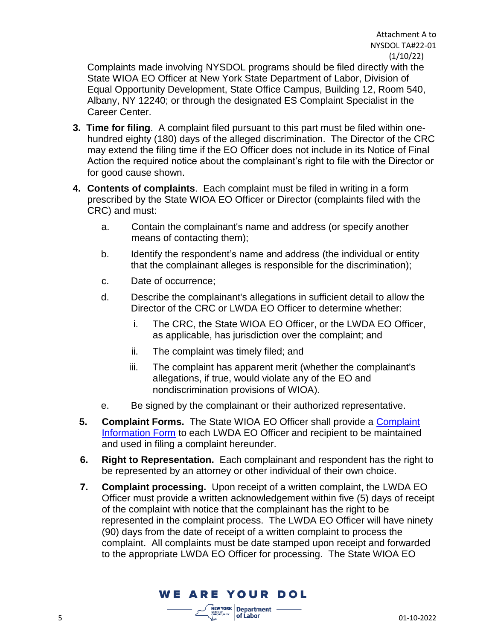Complaints made involving NYSDOL programs should be filed directly with the State WIOA EO Officer at New York State Department of Labor, Division of Equal Opportunity Development, State Office Campus, Building 12, Room 540, Albany, NY 12240; or through the designated ES Complaint Specialist in the Career Center.

- **3. Time for filing**. A complaint filed pursuant to this part must be filed within onehundred eighty (180) days of the alleged discrimination. The Director of the CRC may extend the filing time if the EO Officer does not include in its Notice of Final Action the required notice about the complainant's right to file with the Director or for good cause shown.
- **4. Contents of complaints**. Each complaint must be filed in writing in a form prescribed by the State WIOA EO Officer or Director (complaints filed with the CRC) and must:
	- a. Contain the complainant's name and address (or specify another means of contacting them);
	- b. Identify the respondent's name and address (the individual or entity that the complainant alleges is responsible for the discrimination);
	- c. Date of occurrence;
	- d. Describe the complainant's allegations in sufficient detail to allow the Director of the CRC or LWDA EO Officer to determine whether:
		- i. The CRC, the State WIOA EO Officer, or the LWDA EO Officer, as applicable, has jurisdiction over the complaint; and
		- ii. The complaint was timely filed; and
		- iii. The complaint has apparent merit (whether the complainant's allegations, if true, would violate any of the EO and nondiscrimination provisions of WIOA).
	- e. Be signed by the complainant or their authorized representative.
	- **5. Complaint Forms.** The State WIOA EO Officer shall provide a [Complaint](https://dol.ny.gov/system/files/documents/2021/03/es834.pdf)  [Information Form](https://dol.ny.gov/system/files/documents/2021/03/es834.pdf) to each LWDA EO Officer and recipient to be maintained and used in filing a complaint hereunder.
	- **6. Right to Representation.** Each complainant and respondent has the right to be represented by an attorney or other individual of their own choice.
	- **7. Complaint processing.** Upon receipt of a written complaint, the LWDA EO Officer must provide a written acknowledgement within five (5) days of receipt of the complaint with notice that the complainant has the right to be represented in the complaint process. The LWDA EO Officer will have ninety (90) days from the date of receipt of a written complaint to process the complaint. All complaints must be date stamped upon receipt and forwarded to the appropriate LWDA EO Officer for processing. The State WIOA EO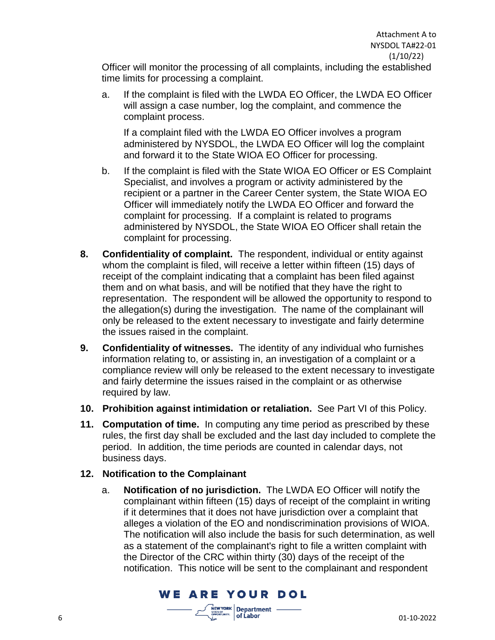Officer will monitor the processing of all complaints, including the established time limits for processing a complaint.

a. If the complaint is filed with the LWDA EO Officer, the LWDA EO Officer will assign a case number, log the complaint, and commence the complaint process.

If a complaint filed with the LWDA EO Officer involves a program administered by NYSDOL, the LWDA EO Officer will log the complaint and forward it to the State WIOA EO Officer for processing.

- b. If the complaint is filed with the State WIOA EO Officer or ES Complaint Specialist, and involves a program or activity administered by the recipient or a partner in the Career Center system, the State WIOA EO Officer will immediately notify the LWDA EO Officer and forward the complaint for processing. If a complaint is related to programs administered by NYSDOL, the State WIOA EO Officer shall retain the complaint for processing.
- **8. Confidentiality of complaint.** The respondent, individual or entity against whom the complaint is filed, will receive a letter within fifteen (15) days of receipt of the complaint indicating that a complaint has been filed against them and on what basis, and will be notified that they have the right to representation. The respondent will be allowed the opportunity to respond to the allegation(s) during the investigation. The name of the complainant will only be released to the extent necessary to investigate and fairly determine the issues raised in the complaint.
- **9. Confidentiality of witnesses.** The identity of any individual who furnishes information relating to, or assisting in, an investigation of a complaint or a compliance review will only be released to the extent necessary to investigate and fairly determine the issues raised in the complaint or as otherwise required by law.
- **10. Prohibition against intimidation or retaliation.** See Part VI of this Policy.
- **11. Computation of time.** In computing any time period as prescribed by these rules, the first day shall be excluded and the last day included to complete the period. In addition, the time periods are counted in calendar days, not business days.

#### **12. Notification to the Complainant**

a. **Notification of no jurisdiction.** The LWDA EO Officer will notify the complainant within fifteen (15) days of receipt of the complaint in writing if it determines that it does not have jurisdiction over a complaint that alleges a violation of the EO and nondiscrimination provisions of WIOA. The notification will also include the basis for such determination, as well as a statement of the complainant's right to file a written complaint with the Director of the CRC within thirty (30) days of the receipt of the notification. This notice will be sent to the complainant and respondent

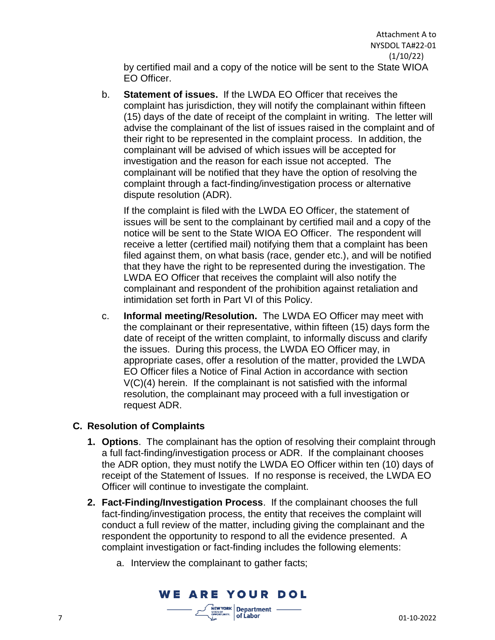by certified mail and a copy of the notice will be sent to the State WIOA EO Officer.

b. **Statement of issues.** If the LWDA EO Officer that receives the complaint has jurisdiction, they will notify the complainant within fifteen (15) days of the date of receipt of the complaint in writing. The letter will advise the complainant of the list of issues raised in the complaint and of their right to be represented in the complaint process. In addition, the complainant will be advised of which issues will be accepted for investigation and the reason for each issue not accepted. The complainant will be notified that they have the option of resolving the complaint through a fact-finding/investigation process or alternative dispute resolution (ADR).

If the complaint is filed with the LWDA EO Officer, the statement of issues will be sent to the complainant by certified mail and a copy of the notice will be sent to the State WIOA EO Officer. The respondent will receive a letter (certified mail) notifying them that a complaint has been filed against them, on what basis (race, gender etc.), and will be notified that they have the right to be represented during the investigation. The LWDA EO Officer that receives the complaint will also notify the complainant and respondent of the prohibition against retaliation and intimidation set forth in Part VI of this Policy.

c. **Informal meeting/Resolution.** The LWDA EO Officer may meet with the complainant or their representative, within fifteen (15) days form the date of receipt of the written complaint, to informally discuss and clarify the issues. During this process, the LWDA EO Officer may, in appropriate cases, offer a resolution of the matter, provided the LWDA EO Officer files a Notice of Final Action in accordance with section V(C)(4) herein. If the complainant is not satisfied with the informal resolution, the complainant may proceed with a full investigation or request ADR.

## **C. Resolution of Complaints**

- **1. Options**. The complainant has the option of resolving their complaint through a full fact-finding/investigation process or ADR. If the complainant chooses the ADR option, they must notify the LWDA EO Officer within ten (10) days of receipt of the Statement of Issues. If no response is received, the LWDA EO Officer will continue to investigate the complaint.
- **2. Fact-Finding/Investigation Process**. If the complainant chooses the full fact-finding/investigation process, the entity that receives the complaint will conduct a full review of the matter, including giving the complainant and the respondent the opportunity to respond to all the evidence presented. A complaint investigation or fact-finding includes the following elements:
	- a. Interview the complainant to gather facts;

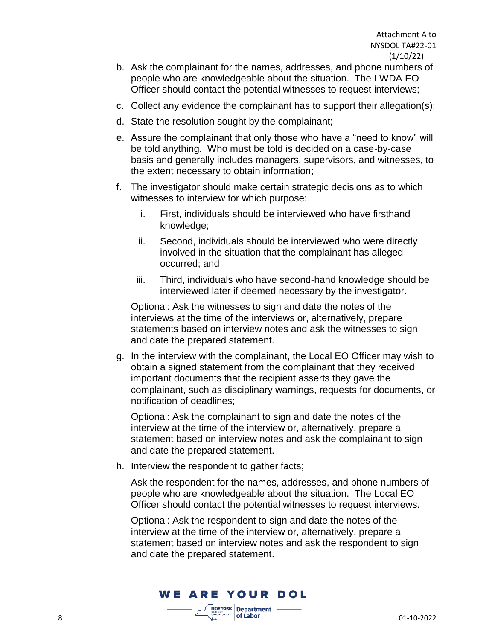- b. Ask the complainant for the names, addresses, and phone numbers of people who are knowledgeable about the situation. The LWDA EO Officer should contact the potential witnesses to request interviews:
- c. Collect any evidence the complainant has to support their allegation(s);
- d. State the resolution sought by the complainant;
- e. Assure the complainant that only those who have a "need to know" will be told anything. Who must be told is decided on a case-by-case basis and generally includes managers, supervisors, and witnesses, to the extent necessary to obtain information;
- f. The investigator should make certain strategic decisions as to which witnesses to interview for which purpose:
	- i. First, individuals should be interviewed who have firsthand knowledge;
	- ii. Second, individuals should be interviewed who were directly involved in the situation that the complainant has alleged occurred; and
	- iii. Third, individuals who have second-hand knowledge should be interviewed later if deemed necessary by the investigator.

Optional: Ask the witnesses to sign and date the notes of the interviews at the time of the interviews or, alternatively, prepare statements based on interview notes and ask the witnesses to sign and date the prepared statement.

g. In the interview with the complainant, the Local EO Officer may wish to obtain a signed statement from the complainant that they received important documents that the recipient asserts they gave the complainant, such as disciplinary warnings, requests for documents, or notification of deadlines;

Optional: Ask the complainant to sign and date the notes of the interview at the time of the interview or, alternatively, prepare a statement based on interview notes and ask the complainant to sign and date the prepared statement.

h. Interview the respondent to gather facts;

Ask the respondent for the names, addresses, and phone numbers of people who are knowledgeable about the situation. The Local EO Officer should contact the potential witnesses to request interviews.

Optional: Ask the respondent to sign and date the notes of the interview at the time of the interview or, alternatively, prepare a statement based on interview notes and ask the respondent to sign and date the prepared statement.

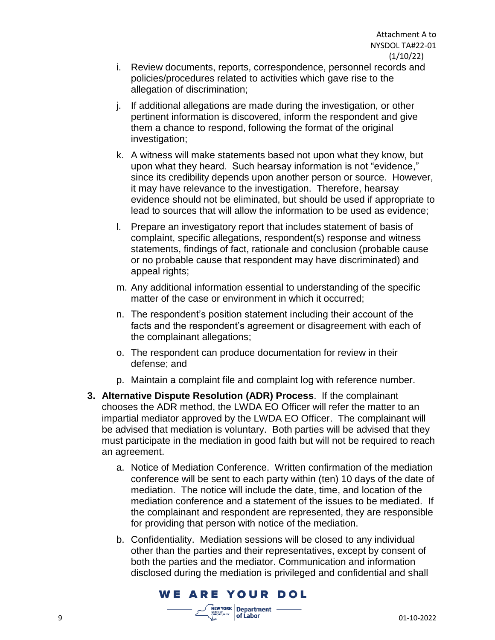- i. Review documents, reports, correspondence, personnel records and policies/procedures related to activities which gave rise to the allegation of discrimination;
- j. If additional allegations are made during the investigation, or other pertinent information is discovered, inform the respondent and give them a chance to respond, following the format of the original investigation;
- k. A witness will make statements based not upon what they know, but upon what they heard. Such hearsay information is not "evidence," since its credibility depends upon another person or source. However, it may have relevance to the investigation. Therefore, hearsay evidence should not be eliminated, but should be used if appropriate to lead to sources that will allow the information to be used as evidence;
- l. Prepare an investigatory report that includes statement of basis of complaint, specific allegations, respondent(s) response and witness statements, findings of fact, rationale and conclusion (probable cause or no probable cause that respondent may have discriminated) and appeal rights;
- m. Any additional information essential to understanding of the specific matter of the case or environment in which it occurred;
- n. The respondent's position statement including their account of the facts and the respondent's agreement or disagreement with each of the complainant allegations;
- o. The respondent can produce documentation for review in their defense; and
- p. Maintain a complaint file and complaint log with reference number.
- **3. Alternative Dispute Resolution (ADR) Process**. If the complainant chooses the ADR method, the LWDA EO Officer will refer the matter to an impartial mediator approved by the LWDA EO Officer. The complainant will be advised that mediation is voluntary. Both parties will be advised that they must participate in the mediation in good faith but will not be required to reach an agreement.
	- a. Notice of Mediation Conference. Written confirmation of the mediation conference will be sent to each party within (ten) 10 days of the date of mediation. The notice will include the date, time, and location of the mediation conference and a statement of the issues to be mediated. If the complainant and respondent are represented, they are responsible for providing that person with notice of the mediation.
	- b. Confidentiality. Mediation sessions will be closed to any individual other than the parties and their representatives, except by consent of both the parties and the mediator. Communication and information disclosed during the mediation is privileged and confidential and shall

**WE ARE YOUR DOL**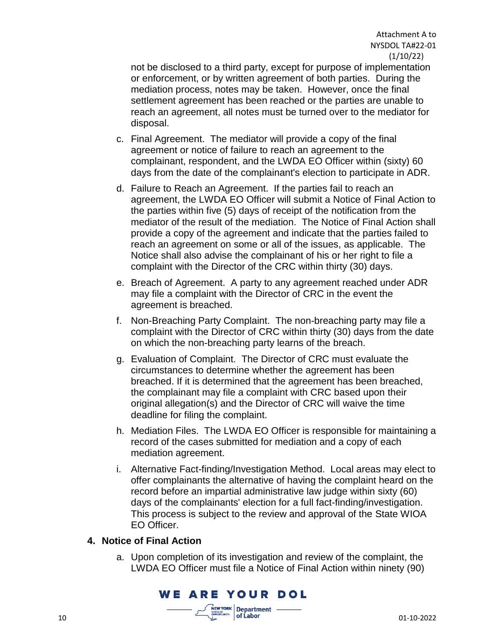not be disclosed to a third party, except for purpose of implementation or enforcement, or by written agreement of both parties. During the mediation process, notes may be taken. However, once the final settlement agreement has been reached or the parties are unable to reach an agreement, all notes must be turned over to the mediator for disposal.

- c. Final Agreement. The mediator will provide a copy of the final agreement or notice of failure to reach an agreement to the complainant, respondent, and the LWDA EO Officer within (sixty) 60 days from the date of the complainant's election to participate in ADR.
- d. Failure to Reach an Agreement. If the parties fail to reach an agreement, the LWDA EO Officer will submit a Notice of Final Action to the parties within five (5) days of receipt of the notification from the mediator of the result of the mediation. The Notice of Final Action shall provide a copy of the agreement and indicate that the parties failed to reach an agreement on some or all of the issues, as applicable. The Notice shall also advise the complainant of his or her right to file a complaint with the Director of the CRC within thirty (30) days.
- e. Breach of Agreement. A party to any agreement reached under ADR may file a complaint with the Director of CRC in the event the agreement is breached.
- f. Non-Breaching Party Complaint. The non-breaching party may file a complaint with the Director of CRC within thirty (30) days from the date on which the non-breaching party learns of the breach.
- g. Evaluation of Complaint. The Director of CRC must evaluate the circumstances to determine whether the agreement has been breached. If it is determined that the agreement has been breached, the complainant may file a complaint with CRC based upon their original allegation(s) and the Director of CRC will waive the time deadline for filing the complaint.
- h. Mediation Files. The LWDA EO Officer is responsible for maintaining a record of the cases submitted for mediation and a copy of each mediation agreement.
- i. Alternative Fact-finding/Investigation Method. Local areas may elect to offer complainants the alternative of having the complaint heard on the record before an impartial administrative law judge within sixty (60) days of the complainants' election for a full fact-finding/investigation. This process is subject to the review and approval of the State WIOA EO Officer.

#### **4. Notice of Final Action**

a. Upon completion of its investigation and review of the complaint, the LWDA EO Officer must file a Notice of Final Action within ninety (90)

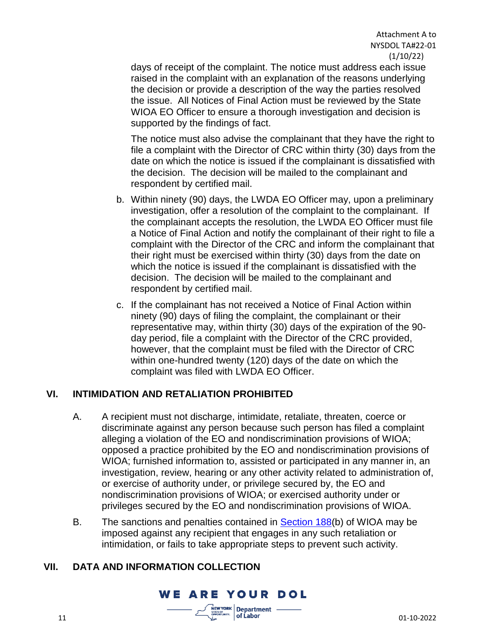days of receipt of the complaint. The notice must address each issue raised in the complaint with an explanation of the reasons underlying the decision or provide a description of the way the parties resolved the issue. All Notices of Final Action must be reviewed by the State WIOA EO Officer to ensure a thorough investigation and decision is supported by the findings of fact.

The notice must also advise the complainant that they have the right to file a complaint with the Director of CRC within thirty (30) days from the date on which the notice is issued if the complainant is dissatisfied with the decision. The decision will be mailed to the complainant and respondent by certified mail.

- b. Within ninety (90) days, the LWDA EO Officer may, upon a preliminary investigation, offer a resolution of the complaint to the complainant. If the complainant accepts the resolution, the LWDA EO Officer must file a Notice of Final Action and notify the complainant of their right to file a complaint with the Director of the CRC and inform the complainant that their right must be exercised within thirty (30) days from the date on which the notice is issued if the complainant is dissatisfied with the decision. The decision will be mailed to the complainant and respondent by certified mail.
- c. If the complainant has not received a Notice of Final Action within ninety (90) days of filing the complaint, the complainant or their representative may, within thirty (30) days of the expiration of the 90 day period, file a complaint with the Director of the CRC provided, however, that the complaint must be filed with the Director of CRC within one-hundred twenty (120) days of the date on which the complaint was filed with LWDA EO Officer.

#### **VI. INTIMIDATION AND RETALIATION PROHIBITED**

- A. A recipient must not discharge, intimidate, retaliate, threaten, coerce or discriminate against any person because such person has filed a complaint alleging a violation of the EO and nondiscrimination provisions of WIOA; opposed a practice prohibited by the EO and nondiscrimination provisions of WIOA; furnished information to, assisted or participated in any manner in, an investigation, review, hearing or any other activity related to administration of, or exercise of authority under, or privilege secured by, the EO and nondiscrimination provisions of WIOA; or exercised authority under or privileges secured by the EO and nondiscrimination provisions of WIOA.
- B. The sanctions and penalties contained in [Section 188\(](https://www.dol.gov/agencies/oasam/centers-offices/civil-rights-center/statutes/section-188-workforce-innovation-opportunity-act)b) of WIOA may be imposed against any recipient that engages in any such retaliation or intimidation, or fails to take appropriate steps to prevent such activity.

#### **VII. DATA AND INFORMATION COLLECTION**

**WE ARE YOUR DOL**  $\frac{YORK}{r}$  Department - $11$  01-10-2022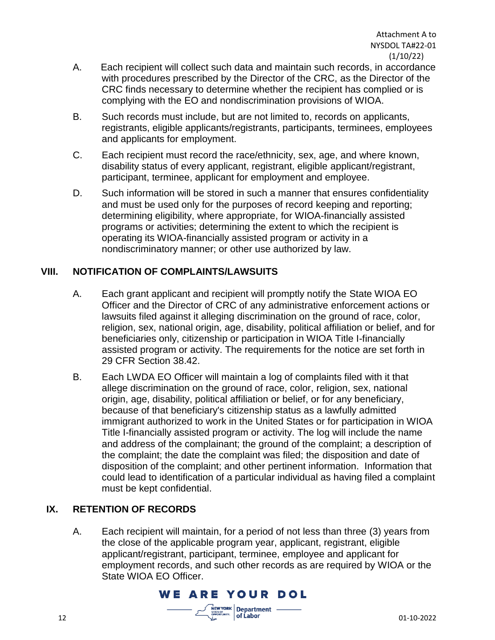- A. Each recipient will collect such data and maintain such records, in accordance with procedures prescribed by the Director of the CRC, as the Director of the CRC finds necessary to determine whether the recipient has complied or is complying with the EO and nondiscrimination provisions of WIOA.
- B. Such records must include, but are not limited to, records on applicants, registrants, eligible applicants/registrants, participants, terminees, employees and applicants for employment.
- C. Each recipient must record the race/ethnicity, sex, age, and where known, disability status of every applicant, registrant, eligible applicant/registrant, participant, terminee, applicant for employment and employee.
- D. Such information will be stored in such a manner that ensures confidentiality and must be used only for the purposes of record keeping and reporting; determining eligibility, where appropriate, for WIOA-financially assisted programs or activities; determining the extent to which the recipient is operating its WIOA-financially assisted program or activity in a nondiscriminatory manner; or other use authorized by law.

### **VIII. NOTIFICATION OF COMPLAINTS/LAWSUITS**

- A. Each grant applicant and recipient will promptly notify the State WIOA EO Officer and the Director of CRC of any administrative enforcement actions or lawsuits filed against it alleging discrimination on the ground of race, color, religion, sex, national origin, age, disability, political affiliation or belief, and for beneficiaries only, citizenship or participation in WIOA Title I-financially assisted program or activity. The requirements for the notice are set forth in 29 CFR Section 38.42.
- B. Each LWDA EO Officer will maintain a log of complaints filed with it that allege discrimination on the ground of race, color, religion, sex, national origin, age, disability, political affiliation or belief, or for any beneficiary, because of that beneficiary's citizenship status as a lawfully admitted immigrant authorized to work in the United States or for participation in WIOA Title I-financially assisted program or activity. The log will include the name and address of the complainant; the ground of the complaint; a description of the complaint; the date the complaint was filed; the disposition and date of disposition of the complaint; and other pertinent information. Information that could lead to identification of a particular individual as having filed a complaint must be kept confidential.

## **IX. RETENTION OF RECORDS**

A. Each recipient will maintain, for a period of not less than three (3) years from the close of the applicable program year, applicant, registrant, eligible applicant/registrant, participant, terminee, employee and applicant for employment records, and such other records as are required by WIOA or the State WIOA EO Officer.

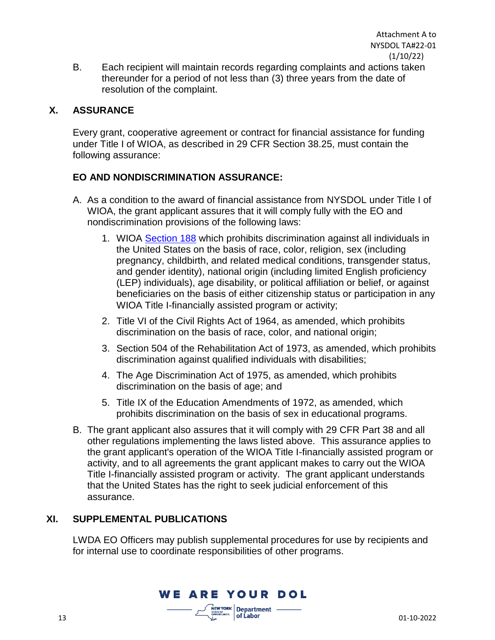B. Each recipient will maintain records regarding complaints and actions taken thereunder for a period of not less than (3) three years from the date of resolution of the complaint.

#### **X. ASSURANCE**

Every grant, cooperative agreement or contract for financial assistance for funding under Title I of WIOA, as described in 29 CFR Section 38.25, must contain the following assurance:

### **EO AND NONDISCRIMINATION ASSURANCE:**

- A. As a condition to the award of financial assistance from NYSDOL under Title I of WIOA, the grant applicant assures that it will comply fully with the EO and nondiscrimination provisions of the following laws:
	- 1. WIOA [Section 188](https://www.dol.gov/agencies/oasam/centers-offices/civil-rights-center/statutes/section-188-workforce-innovation-opportunity-act) which prohibits discrimination against all individuals in the United States on the basis of race, color, religion, sex (including pregnancy, childbirth, and related medical conditions, transgender status, and gender identity), national origin (including limited English proficiency (LEP) individuals), age disability, or political affiliation or belief, or against beneficiaries on the basis of either citizenship status or participation in any WIOA Title I-financially assisted program or activity;
	- 2. Title VI of the Civil Rights Act of 1964, as amended, which prohibits discrimination on the basis of race, color, and national origin;
	- 3. Section 504 of the Rehabilitation Act of 1973, as amended, which prohibits discrimination against qualified individuals with disabilities;
	- 4. The Age Discrimination Act of 1975, as amended, which prohibits discrimination on the basis of age; and
	- 5. Title IX of the Education Amendments of 1972, as amended, which prohibits discrimination on the basis of sex in educational programs.
- B. The grant applicant also assures that it will comply with 29 CFR Part 38 and all other regulations implementing the laws listed above. This assurance applies to the grant applicant's operation of the WIOA Title I-financially assisted program or activity, and to all agreements the grant applicant makes to carry out the WIOA Title I-financially assisted program or activity. The grant applicant understands that the United States has the right to seek judicial enforcement of this assurance.

#### **XI. SUPPLEMENTAL PUBLICATIONS**

LWDA EO Officers may publish supplemental procedures for use by recipients and for internal use to coordinate responsibilities of other programs.